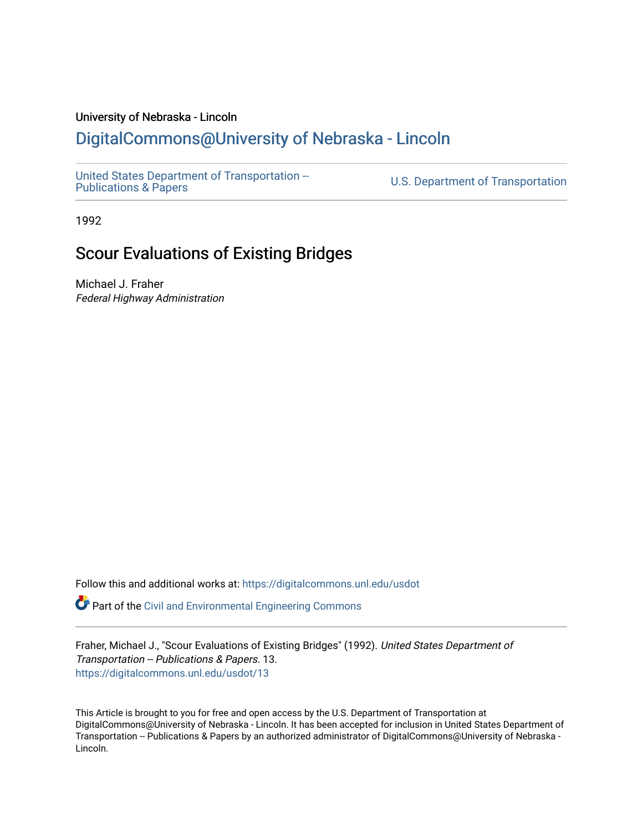# University of Nebraska - Lincoln

# [DigitalCommons@University of Nebraska - Lincoln](https://digitalcommons.unl.edu/)

[United States Department of Transportation --](https://digitalcommons.unl.edu/usdot)<br>Publications & Papers

U.S. Department of Transportation

1992

# Scour Evaluations of Existing Bridges

Michael J. Fraher Federal Highway Administration

Follow this and additional works at: [https://digitalcommons.unl.edu/usdot](https://digitalcommons.unl.edu/usdot?utm_source=digitalcommons.unl.edu%2Fusdot%2F13&utm_medium=PDF&utm_campaign=PDFCoverPages) 

Part of the [Civil and Environmental Engineering Commons](http://network.bepress.com/hgg/discipline/251?utm_source=digitalcommons.unl.edu%2Fusdot%2F13&utm_medium=PDF&utm_campaign=PDFCoverPages)

Fraher, Michael J., "Scour Evaluations of Existing Bridges" (1992). United States Department of Transportation -- Publications & Papers. 13. [https://digitalcommons.unl.edu/usdot/13](https://digitalcommons.unl.edu/usdot/13?utm_source=digitalcommons.unl.edu%2Fusdot%2F13&utm_medium=PDF&utm_campaign=PDFCoverPages)

This Article is brought to you for free and open access by the U.S. Department of Transportation at DigitalCommons@University of Nebraska - Lincoln. It has been accepted for inclusion in United States Department of Transportation -- Publications & Papers by an authorized administrator of DigitalCommons@University of Nebraska - Lincoln.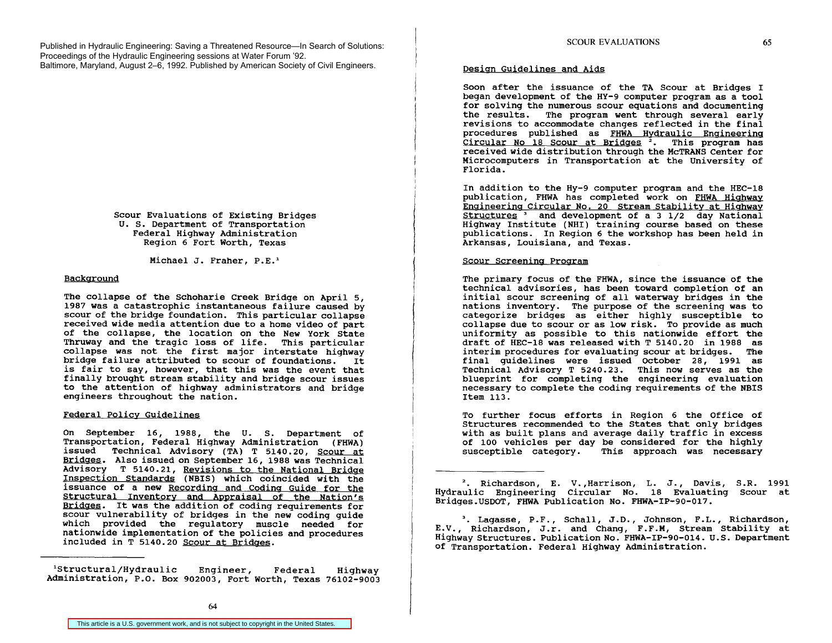Published in Hydraulic Engineering: Saving a Threatened Resource—In Search of Solutions: Proceedings of the Hydraulic Engineering sessions at Water Forum '92. Baltimore, Maryland, August 2–6, 1992. Published by American Society of Civil Engineers.

> Scour Evaluations of Existing Bridges U. S. Department of Transportation Federal Highway Administration Region 6 Fort Worth, Texas

> > Michael J. Fraher, P.E.'

## Background

The collapse of the Schoharie Creek Bridge on April 5, 1987 was a catastrophic instantaneous failure caused by scour of the bridge foundation. This particular collapse received wide media attention due to a home video of part of the collapse, the location on the New York State Thruway and the tragic loss of life. This particular collapse was not the first major interstate highway<br>bridge failure attributed to scour of foundations. It bridge failure attributed to scour of foundations. is fair to say, however, that this was the event that finally brought stream stability and bridge scour issues to the attention of highway administrators and bridge engineers throughout the nation.

## Federal Policy Guidelines

On September 16, 1988, the U. S. Department of Transportation, Federal Highway Administration (FHWA) issued Technical Advisory (TA) T 5140.20, Scour at Bridges. Also issued on September 16,1988 was Technical Advisory T 5140.21, Revisions to the National Bridge Inspection Standards (NBIS) which coincided with the issuance of a new Recording and Coding Guide for the Structural Inventory and Appraisal of the Nation's<br>Bridges. It was the addition of coding requirements for scour vulnerability of bridges in the new coding guide which provided the regulatory muscle needed for nationwide implementation of the policies and procedures included in T 5140.20 Scour at Bridges.

'Structural/Hydraulic Engineer, Federal Highway Administration, P.O. Box 902003, Fort Worth, Texas 76102-9003

# Design Guidelines and Aids

Soon after the issuance of the TA Scour at Bridges I began development of the HY-9 computer program as a tool for solving the numerous scour equations and documenting the results. The program went through several early revisions to accommodate changes reflected in the final procedures published as FHWA Hydraulic Engineering Circular No 18 Scour at Bridges<sup>2</sup>. This program has recei ved wide distribution through the McTRANS Center for Microcomputers in Transportation at the university of Florida.

In addition to the Hy-9 computer program and the HEC-18 publication, FHWA has completed work on FHWA Highway Engineering Circular No. 20 Stream Stability at Highway Structures<sup>3</sup> and development of a 3 1/2 day National Highway Institute (NHI) training course based on these publications. In Region 6 the workshop has been held in Arkansas, Louisiana, and Texas.

# Scour Screening Program

The primary focus of the FHWA, since the issuance of the technical advisories, has been toward completion of an initial scour screening of all waterway bridges in the nations inventory. The purpose of the screening was to categorize bridges as either highly susceptible to collapse due to scour or as low risk. To provide as much uniformity as possible to this nationwide effort the draft of HEC-18 was released with T 5140.20 in 1988 as interim procedures for evaluating scour at bridges. The final guidelines were issued October 28, 1991 as Technical Advisory T 5240.23. This now serves as the blueprint for completing the engineering evaluation necessary to complete the coding requirements of the NBIS Item 113.

To further focus efforts in Region 6 the Office of Structures recommended to the States that only bridges with as built plans and average daily traffic in excess of 100 vehicles per day be considered for the highly<br>susceptible category. This approach was necessary This approach was necessary

<sup>2</sup>. Richardson, E. V., Harrison, L. J., Davis, S.R. 1991 Hydraulic Engineering Circular No. 18 Evaluating Scour at Bridges.USDOT, FHWA Publication No. FHWA-IP-90-017.

3. Lagasse, P.F., Schall, J.D., Johnson, F.L., Richardson, E.V., Richardson, J.r. and Chang, F.F.M, Stream Stability at Highway Structures. Publication No. FHWA-IP-90-014. U.S. Department of Transportation. Federal Highway Administration.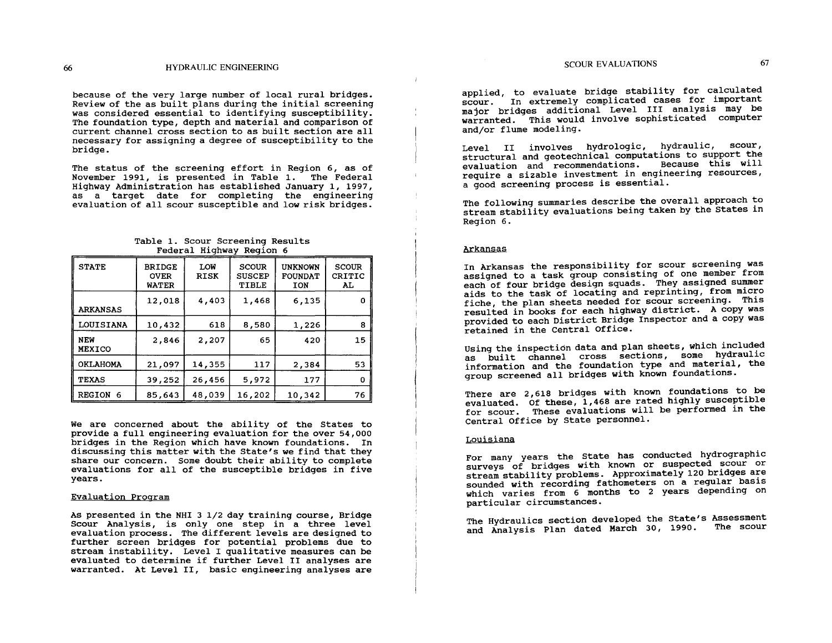because of the very large number of local rural bridges. Review of the as built plans during the initial screening was considered essential to identifying susceptibility. The foundation type, depth and material and comparison of current channel cross section to as built section are all necessary for assigning a degree of susceptibility to the bridge.

The status of the screening effort in Region 6, as of November 1991, is presented in Table 1. The Federal Highway Administration has established January I, 1997, as a target date for completing the engineering evaluation of all scour susceptible and low risk bridges.

| Table 1. Scour Screening Results |  |  |                          |  |
|----------------------------------|--|--|--------------------------|--|
|                                  |  |  | Federal Highway Region 6 |  |

| <b>STATE</b>                | <b>BRIDGE</b><br><b>OVER</b><br><b>WATER</b> | LOW<br><b>RISK</b> | <b>SCOUR</b><br><b>SUSCEP</b><br>TIBLE | <b>UNKNOWN</b><br><b>FOUNDAT</b><br><b>TON</b> | <b>SCOUR</b><br>CRITIC<br>AL. |
|-----------------------------|----------------------------------------------|--------------------|----------------------------------------|------------------------------------------------|-------------------------------|
| <b>ARKANSAS</b>             | 12,018                                       | 4,403              | 1,468                                  | 6,135                                          |                               |
| <b>LOUISIANA</b>            | 10,432                                       | 618                | 8,580                                  | 1,226                                          | 8                             |
| <b>NEW</b><br><b>MEXICO</b> | 2,846                                        | 2,207              | 65                                     | 420                                            | 15                            |
| <b>OKLAHOMA</b>             | 21,097                                       | 14,355             | 117                                    | 2,384                                          | 53                            |
| <b>TEXAS</b>                | 39,252                                       | 26,456             | 5,972                                  | 177                                            | 0                             |
| REGION 6                    | 85,643                                       | 48,039             | 16,202                                 | 10,342                                         | 76                            |

We are concerned about the ability of the States to provide a full engineering evaluation for the over 54,000 bridges in the Region which have known foundations. In discussing this matter with the State's we find that they share our concern. Some doubt their ability to complete evaluations for all of the susceptible bridges in five years.

#### Evaluation Program

As presented in the NHI 3 1/2 day training course, Bridge Scour Analysis, is only one step in a three level evaluation process. The different levels are designed to further screen bridges for potential problems due to stream instability. Level I qualitative measures can be evaluated to determine if further Level II analyses are warranted. At Level II, basic engineering analyses are

applied, to evaluate bridge stability for calculated scour. In extremely complicated cases for important major bridges additional Level III analysis may be warranted. This would involve sophisticated computer and/or flume modeling.

Level II involves hvdrologic, hydraulic, scour, structural and geotechnical computations to support the evaluation and recommendations. Because this will require a sizable investment in engineering resources, a good screening process is essential.

The following summaries describe the overall approach to stream stability evaluations being taken by the States in Region 6.

#### Arkansas

 $\mathbf{I}$ 

In Arkansas the responsibility for scour screening was assigned to a task group consisting of one member from each of four bridge design squads. They assigned summer aids to the task of locating and reprinting, from micro fiche, the plan sheets needed for scour screening. This resulted in books for each highway district. A copy was provided to each District Bridge Inspector and a copy was retained in the Central Office.

Using the inspection data and plan sheets, which included as built channel cross sections, some hydraulic information and the foundation type and material, the group screened all bridges with known foundations.

There are 2,618 bridges with known foundations to be evaluated. Of these, 1,468 are rated highly susceptible for scour. These evaluations will be performed in the Central Office by State personnel.

## Louisiana

For many years the State has conducted hydrographic surveys of bridges with known or suspected scour or stream stability problems. Approximately 120 bridges are sounded with recording fathometers on a regular basis which varies from 6 months to 2 years depending on particular circumstances.

The Hydraulics section developed the State's Assessment and Analysis Plan dated March 30, 1990. The scour